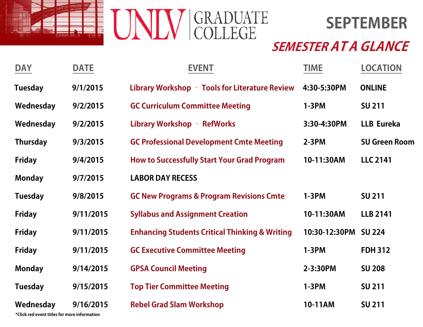



| <b>DAY</b>      | <b>DATE</b> | <b>EVENT</b>                                              | <b>TIME</b>   | <b>LOCATION</b>      |
|-----------------|-------------|-----------------------------------------------------------|---------------|----------------------|
| <b>Tuesday</b>  | 9/1/2015    | Library Workshop - Tools for Literature Review            | 4:30-5:30PM   | <b>ONLINE</b>        |
| Wednesday       | 9/2/2015    | <b>GC Curriculum Committee Meeting</b>                    | $1-3PM$       | <b>SU 211</b>        |
| Wednesday       | 9/2/2015    | <b>Library Workshop - RefWorks</b>                        | 3:30-4:30PM   | <b>LLB Eureka</b>    |
| <b>Thursday</b> | 9/3/2015    | <b>GC Professional Development Cmte Meeting</b>           | $2-3PM$       | <b>SU Green Room</b> |
| <b>Friday</b>   | 9/4/2015    | <b>How to Successfully Start Your Grad Program</b>        | 10-11:30AM    | <b>LLC 2141</b>      |
| <b>Monday</b>   | 9/7/2015    | <b>LABOR DAY RECESS</b>                                   |               |                      |
| <b>Tuesday</b>  | 9/8/2015    | <b>GC New Programs &amp; Program Revisions Cmte</b>       | $1-3PM$       | <b>SU 211</b>        |
| <b>Friday</b>   | 9/11/2015   | <b>Syllabus and Assignment Creation</b>                   | 10-11:30AM    | <b>LLB 2141</b>      |
| <b>Friday</b>   | 9/11/2015   | <b>Enhancing Students Critical Thinking &amp; Writing</b> | 10:30-12:30PM | <b>SU 224</b>        |
| <b>Friday</b>   | 9/11/2015   | <b>GC Executive Committee Meeting</b>                     | $1-3PM$       | <b>FDH 312</b>       |
| <b>Monday</b>   | 9/14/2015   | <b>GPSA Council Meeting</b>                               | 2-3:30PM      | <b>SU 208</b>        |
| <b>Tuesday</b>  | 9/15/2015   | <b>Top Tier Committee Meeting</b>                         | $1-3PM$       | <b>SU 211</b>        |
| Wednesday       | 9/16/2015   | <b>Rebel Grad Slam Workshop</b>                           | 10-11AM       | <b>SU 211</b>        |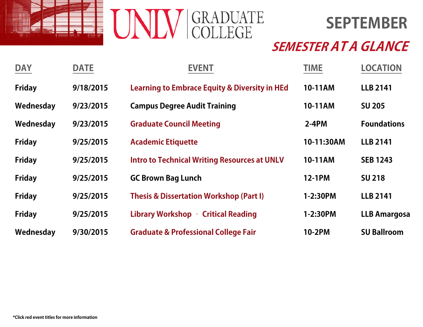



| <b>DAY</b>    | <b>DATE</b> | <b>EVENT</b>                                             | <b>TIME</b>   | <b>LOCATION</b>     |
|---------------|-------------|----------------------------------------------------------|---------------|---------------------|
| <b>Friday</b> | 9/18/2015   | <b>Learning to Embrace Equity &amp; Diversity in HEd</b> | 10-11AM       | <b>LLB 2141</b>     |
| Wednesday     | 9/23/2015   | <b>Campus Degree Audit Training</b>                      | 10-11AM       | <b>SU 205</b>       |
| Wednesday     | 9/23/2015   | <b>Graduate Council Meeting</b>                          | $2-4PM$       | <b>Foundations</b>  |
| <b>Friday</b> | 9/25/2015   | <b>Academic Etiquette</b>                                | 10-11:30AM    | <b>LLB 2141</b>     |
| <b>Friday</b> | 9/25/2015   | <b>Intro to Technical Writing Resources at UNLV</b>      | 10-11AM       | <b>SEB 1243</b>     |
| <b>Friday</b> | 9/25/2015   | <b>GC Brown Bag Lunch</b>                                | <b>12-1PM</b> | <b>SU 218</b>       |
| <b>Friday</b> | 9/25/2015   | <b>Thesis &amp; Dissertation Workshop (Part I)</b>       | 1-2:30PM      | <b>LLB 2141</b>     |
| <b>Friday</b> | 9/25/2015   | Library Workshop - Critical Reading                      | 1-2:30PM      | <b>LLB Amargosa</b> |
| Wednesday     | 9/30/2015   | <b>Graduate &amp; Professional College Fair</b>          | <b>10-2PM</b> | <b>SU Ballroom</b>  |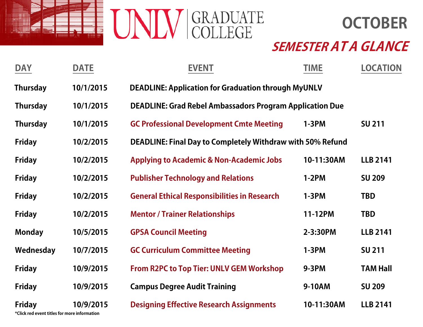



| <b>DAY</b>                                                    | <b>DATE</b> | <b>EVENT</b>                                                      | <b>TIME</b>                                                | <b>LOCATION</b> |  |  |  |
|---------------------------------------------------------------|-------------|-------------------------------------------------------------------|------------------------------------------------------------|-----------------|--|--|--|
| <b>Thursday</b>                                               | 10/1/2015   |                                                                   | <b>DEADLINE: Application for Graduation through MyUNLV</b> |                 |  |  |  |
| <b>Thursday</b>                                               | 10/1/2015   | <b>DEADLINE: Grad Rebel Ambassadors Program Application Due</b>   |                                                            |                 |  |  |  |
| <b>Thursday</b>                                               | 10/1/2015   | <b>GC Professional Development Cmte Meeting</b>                   | $1-3PM$                                                    |                 |  |  |  |
| <b>Friday</b>                                                 | 10/2/2015   | <b>DEADLINE: Final Day to Completely Withdraw with 50% Refund</b> |                                                            |                 |  |  |  |
| <b>Friday</b>                                                 | 10/2/2015   | <b>Applying to Academic &amp; Non-Academic Jobs</b>               | 10-11:30AM                                                 | <b>LLB 2141</b> |  |  |  |
| <b>Friday</b>                                                 | 10/2/2015   | <b>Publisher Technology and Relations</b>                         | $1-2PM$                                                    | <b>SU 209</b>   |  |  |  |
| <b>Friday</b>                                                 | 10/2/2015   | <b>General Ethical Responsibilities in Research</b>               | $1-3PM$                                                    | <b>TBD</b>      |  |  |  |
| <b>Friday</b>                                                 | 10/2/2015   | <b>Mentor / Trainer Relationships</b>                             | 11-12PM                                                    | <b>TBD</b>      |  |  |  |
| <b>Monday</b>                                                 | 10/5/2015   | <b>GPSA Council Meeting</b>                                       | 2-3:30PM                                                   | <b>LLB 2141</b> |  |  |  |
| Wednesday                                                     | 10/7/2015   | <b>GC Curriculum Committee Meeting</b>                            | $1-3PM$                                                    | <b>SU 211</b>   |  |  |  |
| <b>Friday</b>                                                 | 10/9/2015   | <b>From R2PC to Top Tier: UNLV GEM Workshop</b>                   | <b>9-3PM</b>                                               | <b>TAM Hall</b> |  |  |  |
| <b>Friday</b>                                                 | 10/9/2015   | <b>Campus Degree Audit Training</b>                               | 9-10AM                                                     | <b>SU 209</b>   |  |  |  |
| <b>Friday</b><br>*Click red event titles for more information | 10/9/2015   | <b>Designing Effective Research Assignments</b>                   | 10-11:30AM                                                 | <b>LLB 2141</b> |  |  |  |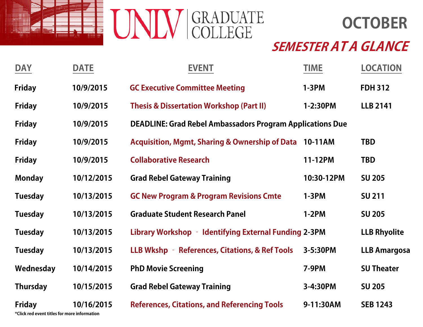

**OCTOBER**

# **SEMESTER AT A GLANCE**

| <b>DAY</b>                                                      | <b>DATE</b> | <b>EVENT</b>                                                     | <b>TIME</b>  | <b>LOCATION</b>     |
|-----------------------------------------------------------------|-------------|------------------------------------------------------------------|--------------|---------------------|
| <b>Friday</b>                                                   | 10/9/2015   | <b>GC Executive Committee Meeting</b>                            | $1-3PM$      | <b>FDH 312</b>      |
| <b>Friday</b>                                                   | 10/9/2015   | <b>Thesis &amp; Dissertation Workshop (Part II)</b>              | 1-2:30PM     | <b>LLB 2141</b>     |
| <b>Friday</b>                                                   | 10/9/2015   | <b>DEADLINE: Grad Rebel Ambassadors Program Applications Due</b> |              |                     |
| <b>Friday</b>                                                   | 10/9/2015   | Acquisition, Mgmt, Sharing & Ownership of Data 10-11AM           |              | <b>TBD</b>          |
| <b>Friday</b>                                                   | 10/9/2015   | <b>Collaborative Research</b>                                    | 11-12PM      | <b>TBD</b>          |
| <b>Monday</b>                                                   | 10/12/2015  | <b>Grad Rebel Gateway Training</b>                               | 10:30-12PM   | <b>SU 205</b>       |
| <b>Tuesday</b>                                                  | 10/13/2015  | <b>GC New Program &amp; Program Revisions Cmte</b>               | $1-3PM$      | <b>SU 211</b>       |
| <b>Tuesday</b>                                                  | 10/13/2015  | <b>Graduate Student Research Panel</b>                           | $1-2PM$      | <b>SU 205</b>       |
| <b>Tuesday</b>                                                  | 10/13/2015  | Library Workshop - Identifying External Funding 2-3PM            |              | <b>LLB Rhyolite</b> |
| <b>Tuesday</b>                                                  | 10/13/2015  | LLB Wkshp - References, Citations, & Ref Tools                   | 3-5:30PM     | <b>LLB Amargosa</b> |
| Wednesday                                                       | 10/14/2015  | <b>PhD Movie Screening</b>                                       | <b>7-9PM</b> | <b>SU Theater</b>   |
| <b>Thursday</b>                                                 | 10/15/2015  | <b>Grad Rebel Gateway Training</b>                               | 3-4:30PM     | <b>SU 205</b>       |
| <b>Friday</b><br>*Client und assemblikhen for money information | 10/16/2015  | <b>References, Citations, and Referencing Tools</b>              | 9-11:30AM    | <b>SEB 1243</b>     |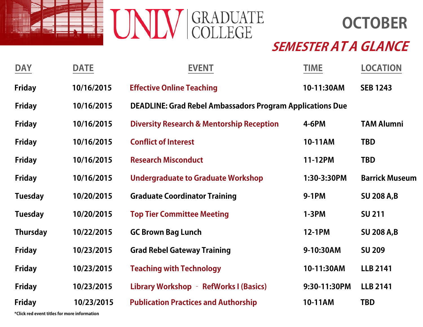



| <b>DAY</b>      | <b>DATE</b> | <b>EVENT</b>                                                     | <b>TIME</b>   | <b>LOCATION</b>       |
|-----------------|-------------|------------------------------------------------------------------|---------------|-----------------------|
| <b>Friday</b>   | 10/16/2015  | <b>Effective Online Teaching</b>                                 | 10-11:30AM    | <b>SEB 1243</b>       |
| <b>Friday</b>   | 10/16/2015  | <b>DEADLINE: Grad Rebel Ambassadors Program Applications Due</b> |               |                       |
| <b>Friday</b>   | 10/16/2015  | <b>Diversity Research &amp; Mentorship Reception</b>             | <b>4-6PM</b>  | <b>TAM Alumni</b>     |
| <b>Friday</b>   | 10/16/2015  | <b>Conflict of Interest</b>                                      | 10-11AM       | <b>TBD</b>            |
| <b>Friday</b>   | 10/16/2015  | <b>Research Misconduct</b>                                       | 11-12PM       | <b>TBD</b>            |
| <b>Friday</b>   | 10/16/2015  | <b>Undergraduate to Graduate Workshop</b>                        | 1:30-3:30PM   | <b>Barrick Museum</b> |
| <b>Tuesday</b>  | 10/20/2015  | <b>Graduate Coordinator Training</b>                             | 9-1PM         | <b>SU 208 A,B</b>     |
| <b>Tuesday</b>  | 10/20/2015  | <b>Top Tier Committee Meeting</b>                                | $1-3PM$       | <b>SU 211</b>         |
| <b>Thursday</b> | 10/22/2015  | <b>GC Brown Bag Lunch</b>                                        | <b>12-1PM</b> | <b>SU 208 A,B</b>     |
| <b>Friday</b>   | 10/23/2015  | <b>Grad Rebel Gateway Training</b>                               | 9-10:30AM     | <b>SU 209</b>         |
| <b>Friday</b>   | 10/23/2015  | <b>Teaching with Technology</b>                                  | 10-11:30AM    | <b>LLB 2141</b>       |
| <b>Friday</b>   | 10/23/2015  | Library Workshop - RefWorks I (Basics)                           | 9:30-11:30PM  | <b>LLB 2141</b>       |
| <b>Friday</b>   | 10/23/2015  | <b>Publication Practices and Authorship</b>                      | 10-11AM       | <b>TBD</b>            |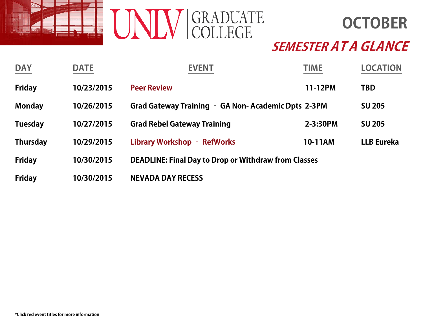

**OCTOBER**

| <b>DAY</b>      | <b>DATE</b> | <b>EVENT</b>                                                | <b>TIME</b> | <b>LOCATION</b>   |
|-----------------|-------------|-------------------------------------------------------------|-------------|-------------------|
| <b>Friday</b>   | 10/23/2015  | <b>Peer Review</b>                                          | 11-12PM     | <b>TBD</b>        |
| <b>Monday</b>   | 10/26/2015  | Grad Gateway Training - GA Non-Academic Dpts 2-3PM          |             | <b>SU 205</b>     |
| <b>Tuesday</b>  | 10/27/2015  | <b>Grad Rebel Gateway Training</b>                          | 2-3:30PM    | <b>SU 205</b>     |
| <b>Thursday</b> | 10/29/2015  | Library Workshop - RefWorks                                 | 10-11AM     | <b>LLB Eureka</b> |
| <b>Friday</b>   | 10/30/2015  | <b>DEADLINE: Final Day to Drop or Withdraw from Classes</b> |             |                   |
| <b>Friday</b>   | 10/30/2015  | <b>NEVADA DAY RECESS</b>                                    |             |                   |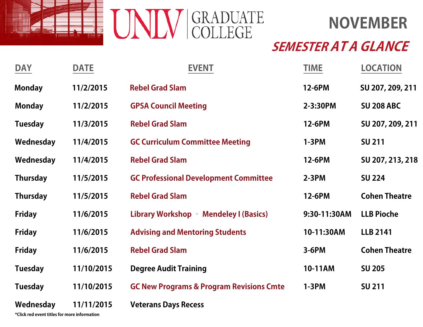

# **NOVEMBER**

### **SEMESTER AT A GLANCE**

| <b>DAY</b>      | <b>DATE</b> | <b>EVENT</b>                                        | <b>TIME</b>  | <b>LOCATION</b>      |
|-----------------|-------------|-----------------------------------------------------|--------------|----------------------|
| <b>Monday</b>   | 11/2/2015   | <b>Rebel Grad Slam</b>                              | 12-6PM       | SU 207, 209, 211     |
| <b>Monday</b>   | 11/2/2015   | <b>GPSA Council Meeting</b>                         | 2-3:30PM     | <b>SU 208 ABC</b>    |
| <b>Tuesday</b>  | 11/3/2015   | <b>Rebel Grad Slam</b>                              | 12-6PM       | SU 207, 209, 211     |
| Wednesday       | 11/4/2015   | <b>GC Curriculum Committee Meeting</b>              | $1-3PM$      | <b>SU 211</b>        |
| Wednesday       | 11/4/2015   | <b>Rebel Grad Slam</b>                              | 12-6PM       | SU 207, 213, 218     |
| <b>Thursday</b> | 11/5/2015   | <b>GC Professional Development Committee</b>        | $2-3PM$      | <b>SU 224</b>        |
| <b>Thursday</b> | 11/5/2015   | <b>Rebel Grad Slam</b>                              | 12-6PM       | <b>Cohen Theatre</b> |
| <b>Friday</b>   | 11/6/2015   | Library Workshop - Mendeley I (Basics)              | 9:30-11:30AM | <b>LLB Pioche</b>    |
| <b>Friday</b>   | 11/6/2015   | <b>Advising and Mentoring Students</b>              | 10-11:30AM   | <b>LLB 2141</b>      |
| <b>Friday</b>   | 11/6/2015   | <b>Rebel Grad Slam</b>                              | $3-6PM$      | <b>Cohen Theatre</b> |
| <b>Tuesday</b>  | 11/10/2015  | <b>Degree Audit Training</b>                        | 10-11AM      | <b>SU 205</b>        |
| <b>Tuesday</b>  | 11/10/2015  | <b>GC New Programs &amp; Program Revisions Cmte</b> | $1-3PM$      | <b>SU 211</b>        |
| Wednesday       | 11/11/2015  | <b>Veterans Days Recess</b>                         |              |                      |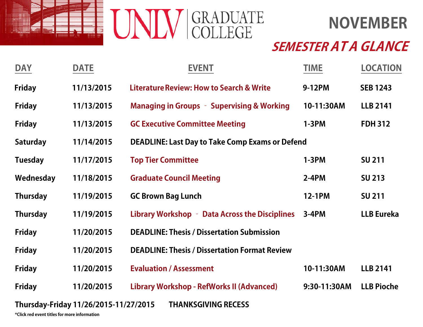

**NOVEMBER**

## **SEMESTER AT A GLANCE**

| <b>DAY</b>      | <b>DATE</b>                           | <b>EVENT</b>                                           | <b>TIME</b>   | <b>LOCATION</b>   |
|-----------------|---------------------------------------|--------------------------------------------------------|---------------|-------------------|
| <b>Friday</b>   | 11/13/2015                            | <b>Literature Review: How to Search &amp; Write</b>    | 9-12PM        | <b>SEB 1243</b>   |
| <b>Friday</b>   | 11/13/2015                            | <b>Managing in Groups - Supervising &amp; Working</b>  | 10-11:30AM    | <b>LLB 2141</b>   |
| <b>Friday</b>   | 11/13/2015                            | <b>GC Executive Committee Meeting</b>                  | $1-3PM$       | <b>FDH 312</b>    |
| <b>Saturday</b> | 11/14/2015                            | <b>DEADLINE: Last Day to Take Comp Exams or Defend</b> |               |                   |
| <b>Tuesday</b>  | 11/17/2015                            | <b>Top Tier Committee</b>                              | $1-3PM$       | <b>SU 211</b>     |
| Wednesday       | 11/18/2015                            | <b>Graduate Council Meeting</b>                        | $2-4PM$       | <b>SU 213</b>     |
| <b>Thursday</b> | 11/19/2015                            | <b>GC Brown Bag Lunch</b>                              | <b>12-1PM</b> | <b>SU 211</b>     |
| <b>Thursday</b> | 11/19/2015                            | Library Workshop - Data Across the Disciplines         | $3-4PM$       | <b>LLB Eureka</b> |
| <b>Friday</b>   | 11/20/2015                            | <b>DEADLINE: Thesis / Dissertation Submission</b>      |               |                   |
| <b>Friday</b>   | 11/20/2015                            | <b>DEADLINE: Thesis / Dissertation Format Review</b>   |               |                   |
| <b>Friday</b>   | 11/20/2015                            | <b>Evaluation / Assessment</b>                         | 10-11:30AM    | <b>LLB 2141</b>   |
| <b>Friday</b>   | 11/20/2015                            | Library Workshop - RefWorks II (Advanced)              | 9:30-11:30AM  | <b>LLB Pioche</b> |
|                 | Thursday-Friday 11/26/2015-11/27/2015 | <b>THANKSGIVING RECESS</b>                             |               |                   |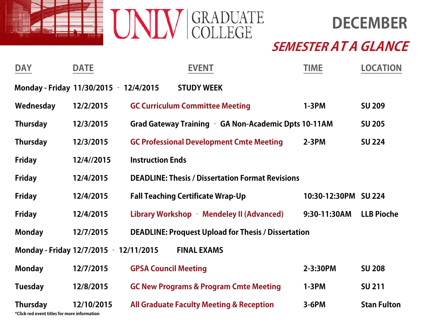



| <b>DAY</b>                                                      | <b>DATE</b>                            |                                          | <b>EVENT</b>       |                                                            | <b>TIME</b>          | <b>LOCATION</b>    |
|-----------------------------------------------------------------|----------------------------------------|------------------------------------------|--------------------|------------------------------------------------------------|----------------------|--------------------|
|                                                                 | Monday - Friday 11/30/2015 - 12/4/2015 |                                          | <b>STUDY WEEK</b>  |                                                            |                      |                    |
| Wednesday                                                       | 12/2/2015                              | <b>GC Curriculum Committee Meeting</b>   |                    |                                                            | $1-3PM$              | <b>SU 209</b>      |
| <b>Thursday</b>                                                 | 12/3/2015                              |                                          |                    | Grad Gateway Training - GA Non-Academic Dpts 10-11AM       |                      | <b>SU 205</b>      |
| <b>Thursday</b>                                                 | 12/3/2015                              |                                          |                    | <b>GC Professional Development Cmte Meeting</b>            | $2-3PM$              | <b>SU 224</b>      |
| <b>Friday</b>                                                   | 12/4//2015                             | <b>Instruction Ends</b>                  |                    |                                                            |                      |                    |
| <b>Friday</b>                                                   | 12/4/2015                              |                                          |                    | <b>DEADLINE: Thesis / Dissertation Format Revisions</b>    |                      |                    |
| <b>Friday</b>                                                   | 12/4/2015                              | <b>Fall Teaching Certificate Wrap-Up</b> |                    |                                                            | 10:30-12:30PM SU 224 |                    |
| <b>Friday</b>                                                   | 12/4/2015                              |                                          |                    | Library Workshop - Mendeley II (Advanced)                  | 9:30-11:30AM         | <b>LLB Pioche</b>  |
| <b>Monday</b>                                                   | 12/7/2015                              |                                          |                    | <b>DEADLINE: Proquest Upload for Thesis / Dissertation</b> |                      |                    |
|                                                                 | Monday - Friday 12/7/2015 - 12/11/2015 |                                          | <b>FINAL EXAMS</b> |                                                            |                      |                    |
| <b>Monday</b>                                                   | 12/7/2015                              | <b>GPSA Council Meeting</b>              |                    |                                                            | 2-3:30PM             | <b>SU 208</b>      |
| <b>Tuesday</b>                                                  | 12/8/2015                              |                                          |                    | <b>GC New Programs &amp; Program Cmte Meeting</b>          | $1-3PM$              | <b>SU 211</b>      |
| <b>Thursday</b><br>*Click red event titles for more information | 12/10/2015                             |                                          |                    | <b>All Graduate Faculty Meeting &amp; Reception</b>        | $3-6PM$              | <b>Stan Fulton</b> |